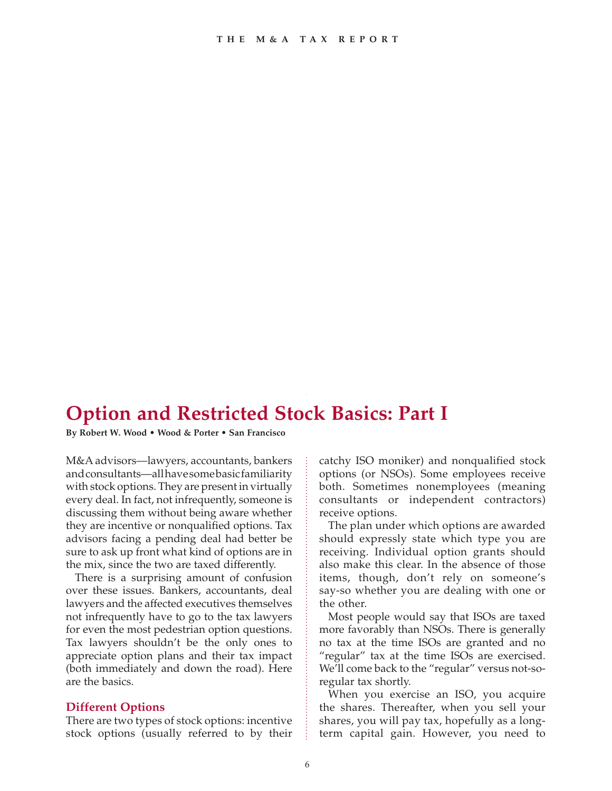# **Option and Restricted Stock Basics: Part I**

**By Robert W. Wood • Wood & Porter • San Francisco**

M&A advisors—lawyers, accountants, bankers and consultants—all have some basic familiarity with stock options. They are present in virtually every deal. In fact, not infrequently, someone is discussing them without being aware whether they are incentive or nonqualified options. Tax advisors facing a pending deal had better be sure to ask up front what kind of options are in the mix, since the two are taxed differently.

There is a surprising amount of confusion over these issues. Bankers, accountants, deal lawyers and the affected executives themselves not infrequently have to go to the tax lawyers for even the most pedestrian option questions. Tax lawyers shouldn't be the only ones to appreciate option plans and their tax impact (both immediately and down the road). Here are the basics.

#### **Different Options**

There are two types of stock options: incentive stock options (usually referred to by their catchy ISO moniker) and nonqualified stock options (or NSOs). Some employees receive both. Sometimes nonemployees (meaning consultants or independent contractors) receive options.

The plan under which options are awarded should expressly state which type you are receiving. Individual option grants should also make this clear. In the absence of those items, though, don't rely on someone's say-so whether you are dealing with one or the other.

Most people would say that ISOs are taxed more favorably than NSOs. There is generally no tax at the time ISOs are granted and no "regular" tax at the time ISOs are exercised. We'll come back to the "regular" versus not-soregular tax shortly.

When you exercise an ISO, you acquire the shares. Thereafter, when you sell your shares, you will pay tax, hopefully as a longterm capital gain. However, you need to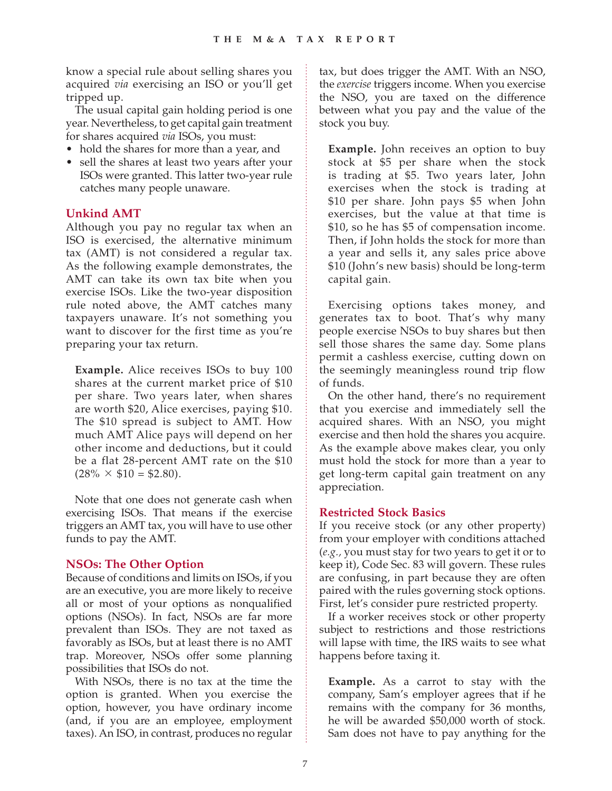know a special rule about selling shares you acquired *via* exercising an ISO or you'll get tripped up.

The usual capital gain holding period is one year. Nevertheless, to get capital gain treatment for shares acquired *via* ISOs, you must:

- hold the shares for more than a year, and
- sell the shares at least two years after your ISOs were granted. This latter two-year rule catches many people unaware.

### **Unkind AMT**

Although you pay no regular tax when an ISO is exercised, the alternative minimum tax (AMT) is not considered a regular tax. As the following example demonstrates, the AMT can take its own tax bite when you exercise ISOs. Like the two-year disposition rule noted above, the AMT catches many taxpayers unaware. It's not something you want to discover for the first time as you're preparing your tax return.

**Example.** Alice receives ISOs to buy 100 shares at the current market price of \$10 per share. Two years later, when shares are worth \$20, Alice exercises, paying \$10. The \$10 spread is subject to AMT. How much AMT Alice pays will depend on her other income and deductions, but it could be a flat 28-percent AMT rate on the \$10  $(28\% \times $10 = $2.80).$ 

Note that one does not generate cash when exercising ISOs. That means if the exercise triggers an AMT tax, you will have to use other funds to pay the AMT.

### **NSOs: The Other Option**

Because of conditions and limits on ISOs, if you are an executive, you are more likely to receive all or most of your options as nonqualified options (NSOs). In fact, NSOs are far more prevalent than ISOs. They are not taxed as favorably as ISOs, but at least there is no AMT trap. Moreover, NSOs offer some planning possibilities that ISOs do not.

With NSOs, there is no tax at the time the option is granted. When you exercise the option, however, you have ordinary income (and, if you are an employee, employment taxes). An ISO, in contrast, produces no regular tax, but does trigger the AMT. With an NSO, the *exercise* triggers income. When you exercise the NSO, you are taxed on the difference between what you pay and the value of the stock you buy.

**Example.** John receives an option to buy stock at \$5 per share when the stock is trading at \$5. Two years later, John exercises when the stock is trading at \$10 per share. John pays \$5 when John exercises, but the value at that time is \$10, so he has \$5 of compensation income. Then, if John holds the stock for more than a year and sells it, any sales price above \$10 (John's new basis) should be long-term capital gain.

Exercising options takes money, and generates tax to boot. That's why many people exercise NSOs to buy shares but then sell those shares the same day. Some plans permit a cashless exercise, cutting down on the seemingly meaningless round trip flow of funds.

On the other hand, there's no requirement that you exercise and immediately sell the acquired shares. With an NSO, you might exercise and then hold the shares you acquire. As the example above makes clear, you only must hold the stock for more than a year to get long-term capital gain treatment on any appreciation.

### **Restricted Stock Basics**

If you receive stock (or any other property) from your employer with conditions attached (*e.g.,* you must stay for two years to get it or to keep it), Code Sec. 83 will govern. These rules are confusing, in part because they are often paired with the rules governing stock options. First, let's consider pure restricted property.

If a worker receives stock or other property subject to restrictions and those restrictions will lapse with time, the IRS waits to see what happens before taxing it.

**Example.** As a carrot to stay with the company, Sam's employer agrees that if he remains with the company for 36 months, he will be awarded \$50,000 worth of stock. Sam does not have to pay anything for the